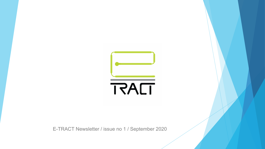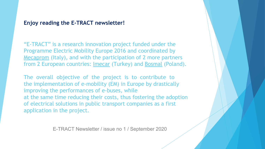# **Enjoy reading the E-TRACT newsletter!**

"E-TRACT" is a research innovation project funded under the Programme Electric Mobility Europe 2016 and coordinated by Mecaprom (Italy), and with the participation of 2 more partners from 2 European countries: Imecar (Turkey) and Bosmal (Poland).

The overall objective of the project is to contribute to the implementation of e-mobility (EM) in Europe by drastically improving the performances of e-buses, while at the same time reducing their costs, thus fostering the adoption of electrical solutions in public transport companies as a first application in the project.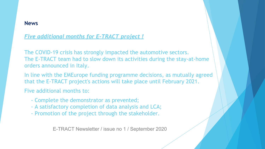### **News**

*Five additional months for E-TRACT project !*

The COVID-19 crisis has strongly impacted the automotive sectors. The E-TRACT team had to slow down its activities during the stay-at-home orders announced in Italy.

In line with the EMEurope funding programme decisions, as mutually agreed that the E-TRACT project's actions will take place until February 2021.

Five additional months to:

- Complete the demonstrator as prevented;
- A satisfactory completion of data analysis and LCA;
- Promotion of the project through the stakeholder.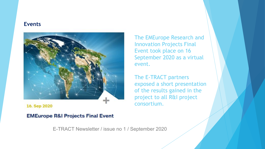#### **Events**



16. Sep 2020

**EMEurope R&I Projects Final Event** 

The EMEurope Research and Innovation Projects Final Event took place on 16 September 2020 as a virtual event.

The E-TRACT partners exposed a short presentation of the results gained in the project to all R&I project consortium.